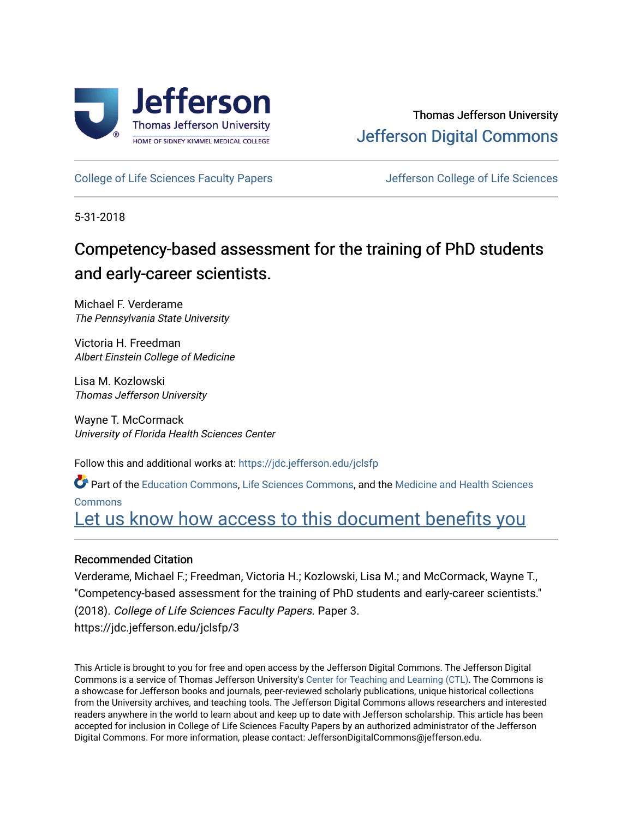

[College of Life Sciences Faculty Papers](https://jdc.jefferson.edu/jclsfp) **Jefferson College of Life Sciences** 

5-31-2018

# Competency-based assessment for the training of PhD students and early-career scientists.

Michael F. Verderame The Pennsylvania State University

Victoria H. Freedman Albert Einstein College of Medicine

Lisa M. Kozlowski Thomas Jefferson University

Wayne T. McCormack University of Florida Health Sciences Center

Follow this and additional works at: [https://jdc.jefferson.edu/jclsfp](https://jdc.jefferson.edu/jclsfp?utm_source=jdc.jefferson.edu%2Fjclsfp%2F3&utm_medium=PDF&utm_campaign=PDFCoverPages)

Part of the [Education Commons](http://network.bepress.com/hgg/discipline/784?utm_source=jdc.jefferson.edu%2Fjclsfp%2F3&utm_medium=PDF&utm_campaign=PDFCoverPages), [Life Sciences Commons](http://network.bepress.com/hgg/discipline/1016?utm_source=jdc.jefferson.edu%2Fjclsfp%2F3&utm_medium=PDF&utm_campaign=PDFCoverPages), and the [Medicine and Health Sciences](http://network.bepress.com/hgg/discipline/648?utm_source=jdc.jefferson.edu%2Fjclsfp%2F3&utm_medium=PDF&utm_campaign=PDFCoverPages)  **[Commons](http://network.bepress.com/hgg/discipline/648?utm_source=jdc.jefferson.edu%2Fjclsfp%2F3&utm_medium=PDF&utm_campaign=PDFCoverPages)** Let us know how access to this document benefits you

# Recommended Citation

Verderame, Michael F.; Freedman, Victoria H.; Kozlowski, Lisa M.; and McCormack, Wayne T., "Competency-based assessment for the training of PhD students and early-career scientists." (2018). College of Life Sciences Faculty Papers. Paper 3. https://jdc.jefferson.edu/jclsfp/3

This Article is brought to you for free and open access by the Jefferson Digital Commons. The Jefferson Digital Commons is a service of Thomas Jefferson University's [Center for Teaching and Learning \(CTL\)](http://www.jefferson.edu/university/teaching-learning.html/). The Commons is a showcase for Jefferson books and journals, peer-reviewed scholarly publications, unique historical collections from the University archives, and teaching tools. The Jefferson Digital Commons allows researchers and interested readers anywhere in the world to learn about and keep up to date with Jefferson scholarship. This article has been accepted for inclusion in College of Life Sciences Faculty Papers by an authorized administrator of the Jefferson Digital Commons. For more information, please contact: JeffersonDigitalCommons@jefferson.edu.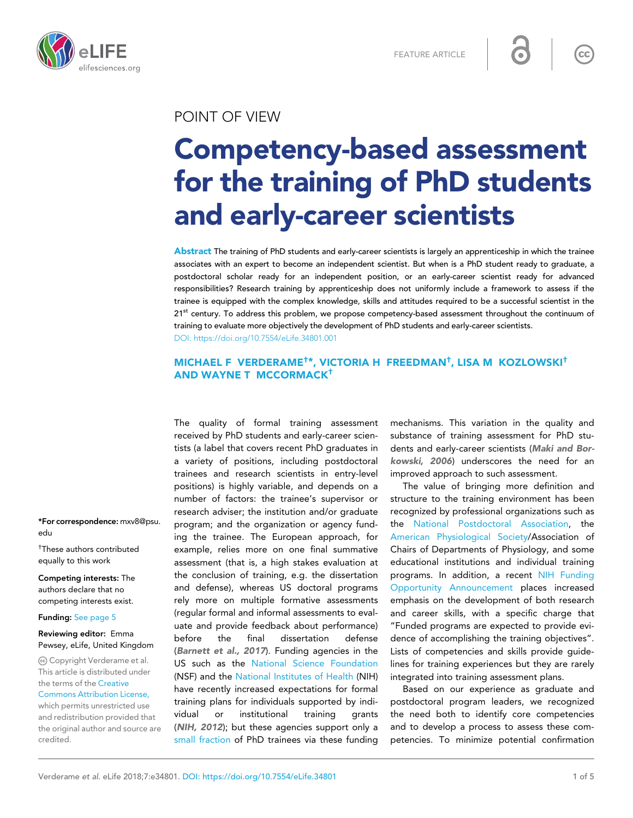

# POINT OF VIEW

# Competency-based assessment for the training of PhD students and early-career scientists

Abstract The training of PhD students and early-career scientists is largely an apprenticeship in which the trainee associates with an expert to become an independent scientist. But when is a PhD student ready to graduate, a postdoctoral scholar ready for an independent position, or an early-career scientist ready for advanced responsibilities? Research training by apprenticeship does not uniformly include a framework to assess if the trainee is equipped with the complex knowledge, skills and attitudes required to be a successful scientist in the 21<sup>st</sup> century. To address this problem, we propose competency-based assessment throughout the continuum of training to evaluate more objectively the development of PhD students and early-career scientists. [DOI: https://doi.org/10.7554/eLife.34801.001](https://doi.org/10.7554/eLife.34801.001)

# MICHAEL F VERDERAME† \*, VICTORIA H FREEDMAN† , LISA M KOZLOWSKI† AND WAYNE T MCCORMACK†

The quality of formal training assessment received by PhD students and early-career scientists (a label that covers recent PhD graduates in a variety of positions, including postdoctoral trainees and research scientists in entry-level positions) is highly variable, and depends on a number of factors: the trainee's supervisor or research adviser; the institution and/or graduate program; and the organization or agency funding the trainee. The European approach, for example, relies more on one final summative assessment (that is, a high stakes evaluation at the conclusion of training, e.g. the dissertation and defense), whereas US doctoral programs rely more on multiple formative assessments (regular formal and informal assessments to evaluate and provide feedback about performance) before the final dissertation defense ([Barnett et al., 2017](#page-5-0)). Funding agencies in the US such as the [National Science Foundation](https://nsf.gov/pubs/2016/nsf16503/nsf16503.htm) (NSF) and the [National Institutes of Health](https://researchtraining.nih.gov/programs/training-grants) (NIH) have recently increased expectations for formal training plans for individuals supported by individual or institutional training grants ([NIH, 2012](#page-5-0)); but these agencies support only a [small fraction](https://report.nih.gov/NIHDatabook/) of PhD trainees via these funding

mechanisms. This variation in the quality and substance of training assessment for PhD students and early-career scientists ([Maki and Bor](#page-5-0)[kowski, 2006](#page-5-0)) underscores the need for an improved approach to such assessment.

The value of bringing more definition and structure to the training environment has been recognized by professional organizations such as the [National Postdoctoral Association](http://www.nationalpostdoc.org/?page=CoreCompetencies), the [American Physiological Society/](http://www.the-aps.org/mm/Education/Publications/Education-Reports/Higher-Ed/skills/Professional-Ethics_1)Association of Chairs of Departments of Physiology, and some educational institutions and individual training programs. In addition, a recent [NIH Funding](https://grants.nih.gov/grants/guide/pa-files/PAR-17-341.html) [Opportunity Announcement](https://grants.nih.gov/grants/guide/pa-files/PAR-17-341.html) places increased emphasis on the development of both research and career skills, with a specific charge that "Funded programs are expected to provide evidence of accomplishing the training objectives". Lists of competencies and skills provide guidelines for training experiences but they are rarely integrated into training assessment plans.

Based on our experience as graduate and postdoctoral program leaders, we recognized the need both to identify core competencies and to develop a process to assess these competencies. To minimize potential confirmation

\*For correspondence: mxv8@psu. edu

† These authors contributed equally to this work

Competing interests: The authors declare that no competing interests exist.

Funding: [See page 5](#page-5-0)

#### Reviewing editor: Emma Pewsey, eLife, United Kingdom

Copyright Verderame et al. This article is distributed under the terms of the [Creative](http://creativecommons.org/licenses/by/4.0/) [Commons Attribution License,](http://creativecommons.org/licenses/by/4.0/) which permits unrestricted use

and redistribution provided that the original author and source are credited.

 $cc$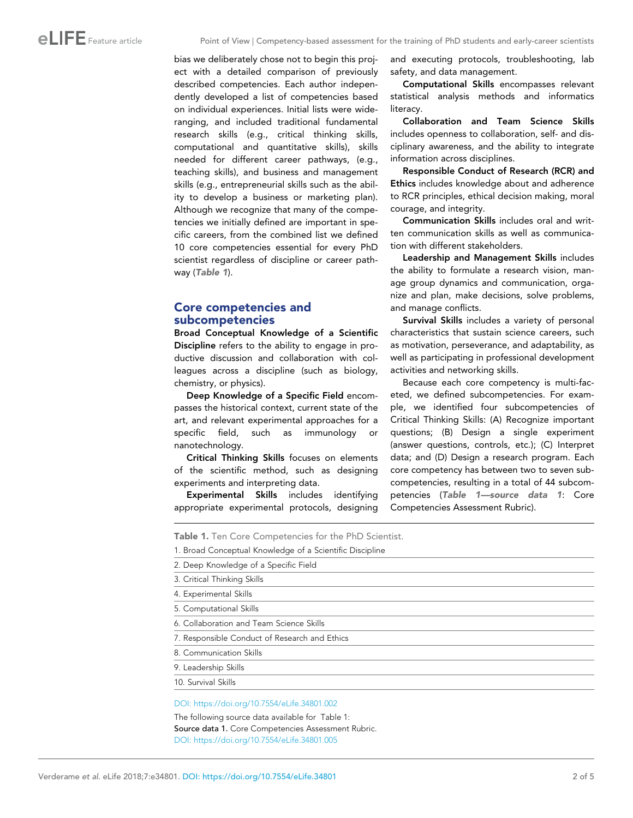bias we deliberately chose not to begin this project with a detailed comparison of previously described competencies. Each author independently developed a list of competencies based on individual experiences. Initial lists were wideranging, and included traditional fundamental research skills (e.g., critical thinking skills, computational and quantitative skills), skills needed for different career pathways, (e.g., teaching skills), and business and management skills (e.g., entrepreneurial skills such as the ability to develop a business or marketing plan). Although we recognize that many of the competencies we initially defined are important in specific careers, from the combined list we defined 10 core competencies essential for every PhD scientist regardless of discipline or career pathway (Table 1).

### Core competencies and subcompetencies

Broad Conceptual Knowledge of a Scientific Discipline refers to the ability to engage in productive discussion and collaboration with colleagues across a discipline (such as biology, chemistry, or physics).

Deep Knowledge of a Specific Field encompasses the historical context, current state of the art, and relevant experimental approaches for a specific field, such as immunology or nanotechnology.

Critical Thinking Skills focuses on elements of the scientific method, such as designing experiments and interpreting data.

Experimental Skills includes identifying appropriate experimental protocols, designing and executing protocols, troubleshooting, lab safety, and data management.

Computational Skills encompasses relevant statistical analysis methods and informatics literacy.

Collaboration and Team Science Skills includes openness to collaboration, self- and disciplinary awareness, and the ability to integrate information across disciplines.

Responsible Conduct of Research (RCR) and Ethics includes knowledge about and adherence to RCR principles, ethical decision making, moral courage, and integrity.

Communication Skills includes oral and written communication skills as well as communication with different stakeholders.

Leadership and Management Skills includes the ability to formulate a research vision, manage group dynamics and communication, organize and plan, make decisions, solve problems, and manage conflicts.

Survival Skills includes a variety of personal characteristics that sustain science careers, such as motivation, perseverance, and adaptability, as well as participating in professional development activities and networking skills.

Because each core competency is multi-faceted, we defined subcompetencies. For example, we identified four subcompetencies of Critical Thinking Skills: (A) Recognize important questions; (B) Design a single experiment (answer questions, controls, etc.); (C) Interpret data; and (D) Design a research program. Each core competency has between two to seven subcompetencies, resulting in a total of 44 subcompetencies (Table 1—source data 1: Core Competencies Assessment Rubric).

|  |  |  |  |  |  | <b>Table 1.</b> Ten Core Competencies for the PhD Scientist. |  |
|--|--|--|--|--|--|--------------------------------------------------------------|--|
|  |  |  |  |  |  |                                                              |  |

| 1. Broad Conceptual Knowledge of a Scientific Discipline |
|----------------------------------------------------------|
| 2. Deep Knowledge of a Specific Field                    |
| 3. Critical Thinking Skills                              |
| 4. Experimental Skills                                   |
| 5. Computational Skills                                  |
| 6. Collaboration and Team Science Skills                 |
| 7. Responsible Conduct of Research and Ethics            |
| 8. Communication Skills                                  |
| 9. Leadership Skills                                     |
| 10. Survival Skills                                      |
| DOI: https://doi.org/10.7554/eLife.34801.002             |

The following source data available for Table 1: Source data 1. Core Competencies Assessment Rubric. [DOI: https://doi.org/10.7554/eLife.34801.005](https://doi.org/10.7554/eLife.34801.005)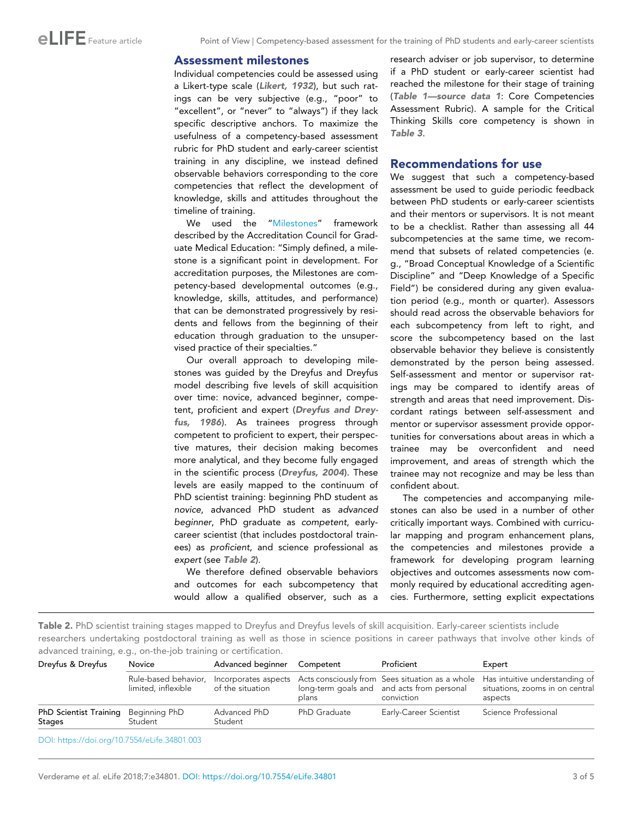#### Assessment milestones

Individual competencies could be assessed using a Likert-type scale ([Likert, 1932](#page-5-0)), but such ratings can be very subjective (e.g., "poor" to "excellent", or "never" to "always") if they lack specific descriptive anchors. To maximize the usefulness of a competency-based assessment rubric for PhD student and early-career scientist training in any discipline, we instead defined observable behaviors corresponding to the core competencies that reflect the development of knowledge, skills and attitudes throughout the timeline of training.

We used the "[Milestones](http://www.acgme.org/What-We-Do/Accreditation/Milestones/Overview)" framework described by the Accreditation Council for Graduate Medical Education: "Simply defined, a milestone is a significant point in development. For accreditation purposes, the Milestones are competency-based developmental outcomes (e.g., knowledge, skills, attitudes, and performance) that can be demonstrated progressively by residents and fellows from the beginning of their education through graduation to the unsupervised practice of their specialties."

Our overall approach to developing milestones was guided by the Dreyfus and Dreyfus model describing five levels of skill acquisition over time: novice, advanced beginner, competent, proficient and expert ([Dreyfus and Drey](#page-5-0)[fus, 1986](#page-5-0)). As trainees progress through competent to proficient to expert, their perspective matures, their decision making becomes more analytical, and they become fully engaged in the scientific process ([Dreyfus, 2004](#page-5-0)). These levels are easily mapped to the continuum of PhD scientist training: beginning PhD student as *novice*, advanced PhD student as *advanced beginner*, PhD graduate as *competent*, earlycareer scientist (that includes postdoctoral trainees) as *proficient*, and science professional as *expert* (see Table 2).

We therefore defined observable behaviors and outcomes for each subcompetency that would allow a qualified observer, such as a research adviser or job supervisor, to determine if a PhD student or early-career scientist had reached the milestone for their stage of training (Table 1—source data 1: Core Competencies Assessment Rubric). A sample for the Critical Thinking Skills core competency is shown in [Table 3](#page-4-0).

## Recommendations for use

We suggest that such a competency-based assessment be used to guide periodic feedback between PhD students or early-career scientists and their mentors or supervisors. It is not meant to be a checklist. Rather than assessing all 44 subcompetencies at the same time, we recommend that subsets of related competencies (e. g., "Broad Conceptual Knowledge of a Scientific Discipline" and "Deep Knowledge of a Specific Field") be considered during any given evaluation period (e.g., month or quarter). Assessors should read across the observable behaviors for each subcompetency from left to right, and score the subcompetency based on the last observable behavior they believe is consistently demonstrated by the person being assessed. Self-assessment and mentor or supervisor ratings may be compared to identify areas of strength and areas that need improvement. Discordant ratings between self-assessment and mentor or supervisor assessment provide opportunities for conversations about areas in which a trainee may be overconfident and need improvement, and areas of strength which the trainee may not recognize and may be less than confident about.

The competencies and accompanying milestones can also be used in a number of other critically important ways. Combined with curricular mapping and program enhancement plans, the competencies and milestones provide a framework for developing program learning objectives and outcomes assessments now commonly required by educational accrediting agencies. Furthermore, setting explicit expectations

Table 2. PhD scientist training stages mapped to Dreyfus and Dreyfus levels of skill acquisition. Early-career scientists include researchers undertaking postdoctoral training as well as those in science positions in career pathways that involve other kinds of advanced training, e.g., on-the-job training or certification.

| Dreyfus & Dreyfus                | Novice                                                           | Advanced beginner Competent |              | Proficient                                               | Expert                                                                                                                       |  |
|----------------------------------|------------------------------------------------------------------|-----------------------------|--------------|----------------------------------------------------------|------------------------------------------------------------------------------------------------------------------------------|--|
|                                  | Rule-based behavior, Incorporates aspects<br>limited, inflexible | of the situation            | plans        | long-term goals and and acts from personal<br>conviction | Acts consciously from Sees situation as a whole Has intuitive understanding of<br>situations, zooms in on central<br>aspects |  |
| PhD Scientist Training<br>Stages | Beginning PhD<br>Student                                         | Advanced PhD<br>Student     | PhD Graduate | Early-Career Scientist                                   | Science Professional                                                                                                         |  |

[DOI: https://doi.org/10.7554/eLife.34801.003](https://doi.org/10.7554/eLife.34801.003)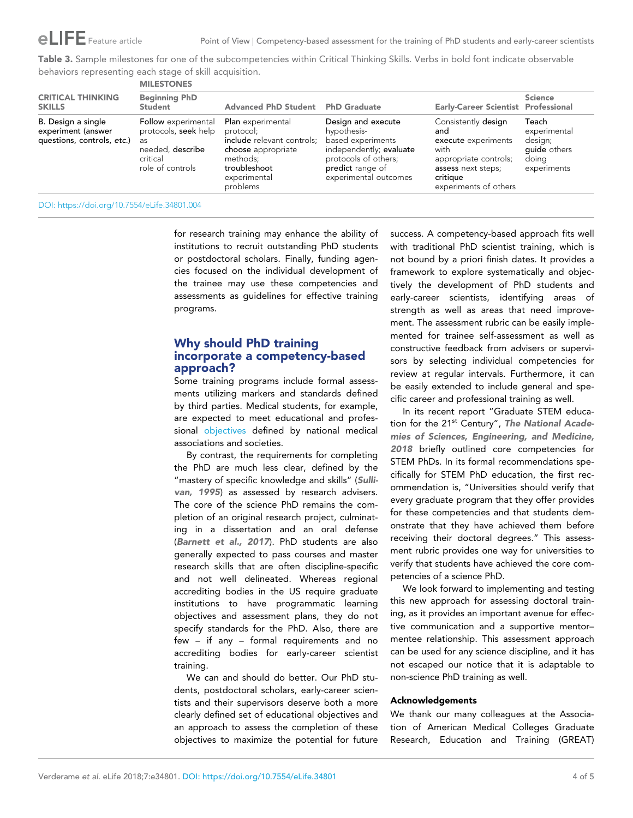<span id="page-4-0"></span>**Table 3.** Sample milestones for one of the subcompetencies within Critical Thinking Skills. Verbs in bold font indicate observable behaviors representing each stage of skill acquisition.

|                                                                        | <b>MILESTONES</b>                                                                                     |                                                                                                                                                   |                                                                                                                                                        |                                                                                                                                               |                                                                          |  |  |  |  |
|------------------------------------------------------------------------|-------------------------------------------------------------------------------------------------------|---------------------------------------------------------------------------------------------------------------------------------------------------|--------------------------------------------------------------------------------------------------------------------------------------------------------|-----------------------------------------------------------------------------------------------------------------------------------------------|--------------------------------------------------------------------------|--|--|--|--|
| <b>CRITICAL THINKING</b><br><b>SKILLS</b>                              | <b>Beginning PhD</b><br>Student                                                                       | <b>Advanced PhD Student</b>                                                                                                                       | <b>PhD Graduate</b>                                                                                                                                    | <b>Early-Career Scientist Professional</b>                                                                                                    | <b>Science</b>                                                           |  |  |  |  |
| B. Design a single<br>experiment (answer<br>questions, controls, etc.) | Follow experimental<br>protocols, seek help<br>as<br>needed, describe<br>critical<br>role of controls | <b>Plan</b> experimental<br>protocol;<br>include relevant controls;<br>choose appropriate<br>methods;<br>troubleshoot<br>experimental<br>problems | Design and execute<br>hypothesis-<br>based experiments<br>independently; evaluate<br>protocols of others;<br>predict range of<br>experimental outcomes | Consistently design<br>and<br>execute experiments<br>with<br>appropriate controls;<br>assess next steps;<br>critique<br>experiments of others | Teach<br>experimental<br>design;<br>quide others<br>doing<br>experiments |  |  |  |  |

for research training may enhance the ability of institutions to recruit outstanding PhD students or postdoctoral scholars. Finally, funding agencies focused on the individual development of the trainee may use these competencies and assessments as guidelines for effective training programs.

# Why should PhD training incorporate a competency-based approach?

Some training programs include formal assessments utilizing markers and standards defined by third parties. Medical students, for example, are expected to meet educational and professional [objectives](http://lcme.org/publications/#Standards) defined by national medical associations and societies.

By contrast, the requirements for completing the PhD are much less clear, defined by the "mastery of specific knowledge and skills" ([Sulli](#page-5-0)[van, 1995](#page-5-0)) as assessed by research advisers. The core of the science PhD remains the completion of an original research project, culminating in a dissertation and an oral defense ([Barnett et al., 2017](#page-5-0)). PhD students are also generally expected to pass courses and master research skills that are often discipline-specific and not well delineated. Whereas regional accrediting bodies in the US require graduate institutions to have programmatic learning objectives and assessment plans, they do not specify standards for the PhD. Also, there are few – if any – formal requirements and no accrediting bodies for early-career scientist training.

We can and should do better. Our PhD students, postdoctoral scholars, early-career scientists and their supervisors deserve both a more clearly defined set of educational objectives and an approach to assess the completion of these objectives to maximize the potential for future success. A competency-based approach fits well with traditional PhD scientist training, which is not bound by a priori finish dates. It provides a framework to explore systematically and objectively the development of PhD students and early-career scientists, identifying areas of strength as well as areas that need improvement. The assessment rubric can be easily implemented for trainee self-assessment as well as constructive feedback from advisers or supervisors by selecting individual competencies for review at regular intervals. Furthermore, it can be easily extended to include general and specific career and professional training as well.

In its recent report "Graduate STEM educa-tion for the 21<sup>st</sup> Century", [The National Acade](#page-5-0)[mies of Sciences, Engineering, and Medicine,](#page-5-0) [2018](#page-5-0) briefly outlined core competencies for STEM PhDs. In its formal recommendations specifically for STEM PhD education, the first recommendation is, "Universities should verify that every graduate program that they offer provides for these competencies and that students demonstrate that they have achieved them before receiving their doctoral degrees." This assessment rubric provides one way for universities to verify that students have achieved the core competencies of a science PhD.

We look forward to implementing and testing this new approach for assessing doctoral training, as it provides an important avenue for effective communication and a supportive mentor– mentee relationship. This assessment approach can be used for any science discipline, and it has not escaped our notice that it is adaptable to non-science PhD training as well.

#### Acknowledgements

We thank our many colleagues at the Association of American Medical Colleges Graduate Research, Education and Training (GREAT)